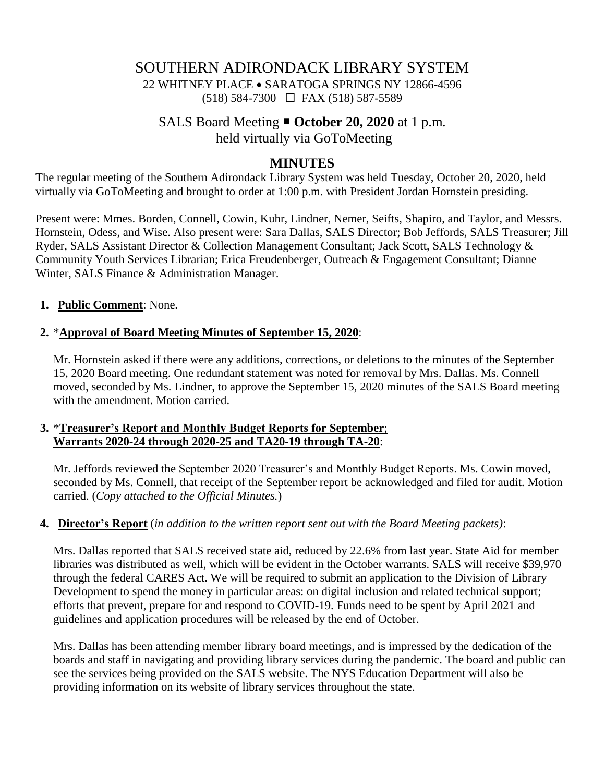## SOUTHERN ADIRONDACK LIBRARY SYSTEM 22 WHITNEY PLACE • SARATOGA SPRINGS NY 12866-4596 (518) 584-7300 FAX (518) 587-5589

# SALS Board Meeting **October 20, 2020** at 1 p.m. held virtually via GoToMeeting

## **MINUTES**

The regular meeting of the Southern Adirondack Library System was held Tuesday, October 20, 2020, held virtually via GoToMeeting and brought to order at 1:00 p.m. with President Jordan Hornstein presiding.

Present were: Mmes. Borden, Connell, Cowin, Kuhr, Lindner, Nemer, Seifts, Shapiro, and Taylor, and Messrs. Hornstein, Odess, and Wise. Also present were: Sara Dallas, SALS Director; Bob Jeffords, SALS Treasurer; Jill Ryder, SALS Assistant Director & Collection Management Consultant; Jack Scott, SALS Technology & Community Youth Services Librarian; Erica Freudenberger, Outreach & Engagement Consultant; Dianne Winter, SALS Finance & Administration Manager.

#### **1. Public Comment**: None.

### **2.** \***Approval of Board Meeting Minutes of September 15, 2020**:

Mr. Hornstein asked if there were any additions, corrections, or deletions to the minutes of the September 15, 2020 Board meeting. One redundant statement was noted for removal by Mrs. Dallas. Ms. Connell moved, seconded by Ms. Lindner, to approve the September 15, 2020 minutes of the SALS Board meeting with the amendment. Motion carried.

### **3.** \***Treasurer's Report and Monthly Budget Reports for September**; **Warrants 2020-24 through 2020-25 and TA20-19 through TA-20**:

Mr. Jeffords reviewed the September 2020 Treasurer's and Monthly Budget Reports. Ms. Cowin moved, seconded by Ms. Connell, that receipt of the September report be acknowledged and filed for audit. Motion carried. (*Copy attached to the Official Minutes.*)

#### **4. Director's Report** (*in addition to the written report sent out with the Board Meeting packets)*:

Mrs. Dallas reported that SALS received state aid, reduced by 22.6% from last year. State Aid for member libraries was distributed as well, which will be evident in the October warrants. SALS will receive \$39,970 through the federal CARES Act. We will be required to submit an application to the Division of Library Development to spend the money in particular areas: on digital inclusion and related technical support; efforts that prevent, prepare for and respond to COVID-19. Funds need to be spent by April 2021 and guidelines and application procedures will be released by the end of October.

Mrs. Dallas has been attending member library board meetings, and is impressed by the dedication of the boards and staff in navigating and providing library services during the pandemic. The board and public can see the services being provided on the SALS website. The NYS Education Department will also be providing information on its website of library services throughout the state.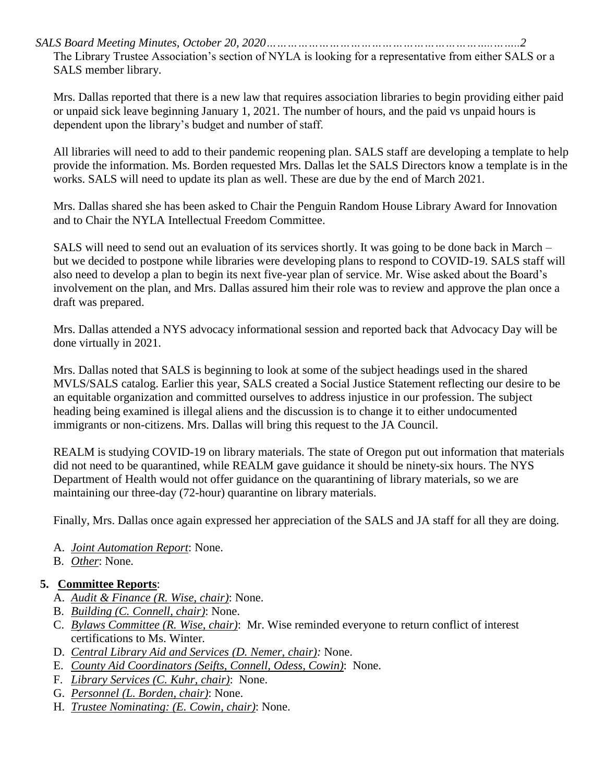*SALS Board Meeting Minutes, October 20, 2020………………………………………………………..……..2* The Library Trustee Association's section of NYLA is looking for a representative from either SALS or a SALS member library.

Mrs. Dallas reported that there is a new law that requires association libraries to begin providing either paid or unpaid sick leave beginning January 1, 2021. The number of hours, and the paid vs unpaid hours is dependent upon the library's budget and number of staff.

All libraries will need to add to their pandemic reopening plan. SALS staff are developing a template to help provide the information. Ms. Borden requested Mrs. Dallas let the SALS Directors know a template is in the works. SALS will need to update its plan as well. These are due by the end of March 2021.

Mrs. Dallas shared she has been asked to Chair the Penguin Random House Library Award for Innovation and to Chair the NYLA Intellectual Freedom Committee.

SALS will need to send out an evaluation of its services shortly. It was going to be done back in March – but we decided to postpone while libraries were developing plans to respond to COVID-19. SALS staff will also need to develop a plan to begin its next five-year plan of service. Mr. Wise asked about the Board's involvement on the plan, and Mrs. Dallas assured him their role was to review and approve the plan once a draft was prepared.

Mrs. Dallas attended a NYS advocacy informational session and reported back that Advocacy Day will be done virtually in 2021.

Mrs. Dallas noted that SALS is beginning to look at some of the subject headings used in the shared MVLS/SALS catalog. Earlier this year, SALS created a Social Justice Statement reflecting our desire to be an equitable organization and committed ourselves to address injustice in our profession. The subject heading being examined is illegal aliens and the discussion is to change it to either undocumented immigrants or non-citizens. Mrs. Dallas will bring this request to the JA Council.

REALM is studying COVID-19 on library materials. The state of Oregon put out information that materials did not need to be quarantined, while REALM gave guidance it should be ninety-six hours. The NYS Department of Health would not offer guidance on the quarantining of library materials, so we are maintaining our three-day (72-hour) quarantine on library materials.

Finally, Mrs. Dallas once again expressed her appreciation of the SALS and JA staff for all they are doing.

- A. *Joint Automation Report*: None.
- B. *Other*: None.

## **5. Committee Reports**:

- A. *Audit & Finance (R. Wise, chair)*: None.
- B. *Building (C. Connell, chair)*: None.
- C. *Bylaws Committee (R. Wise, chair)*: Mr. Wise reminded everyone to return conflict of interest certifications to Ms. Winter.
- D. *Central Library Aid and Services (D. Nemer, chair):* None.
- E. *County Aid Coordinators (Seifts, Connell, Odess, Cowin)*: None.
- F. *Library Services (C. Kuhr, chair)*: None.
- G. *Personnel (L. Borden, chair)*: None.
- H. *Trustee Nominating: (E. Cowin, chair)*: None.